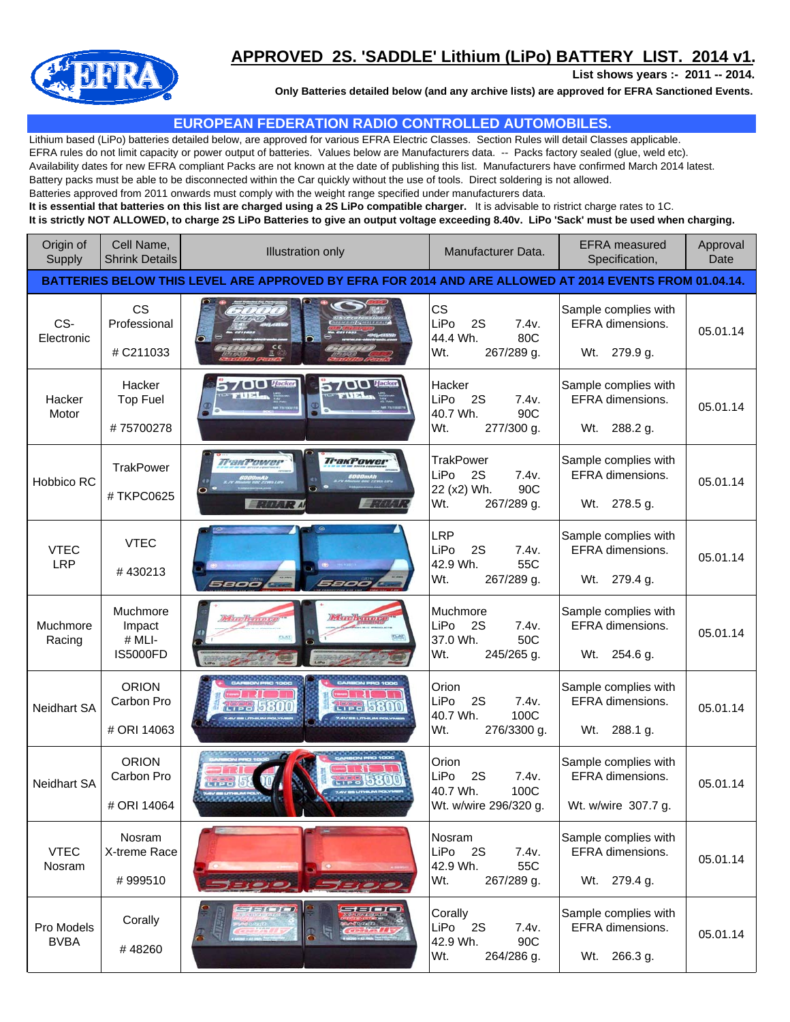

## **APPROVED 2S. 'SADDLE' Lithium (LiPo) BATTERY LIST. 2014 v1.**

**List shows years :- 2011 -- 2014.**

**Only Batteries detailed below (and any archive lists) are approved for EFRA Sanctioned Events.**

## **EUROPEAN FEDERATION RADIO CONTROLLED AUTOMOBILES.**

Lithium based (LiPo) batteries detailed below, are approved for various EFRA Electric Classes. Section Rules will detail Classes applicable. EFRA rules do not limit capacity or power output of batteries. Values below are Manufacturers data. -- Packs factory sealed (glue, weld etc). Availability dates for new EFRA compliant Packs are not known at the date of publishing this list. Manufacturers have confirmed March 2014 latest. Battery packs must be able to be disconnected within the Car quickly without the use of tools. Direct soldering is not allowed. Batteries approved from 2011 onwards must comply with the weight range specified under manufacturers data. **It is essential that batteries on this list are charged using a 2S LiPo compatible charger.** It is advisable to ristrict charge rates to 1C.

**It is strictly NOT ALLOWED, to charge 2S LiPo Batteries to give an output voltage exceeding 8.40v. LiPo 'Sack' must be used when charging.**

| Origin of<br>Supply                                                                                    | Cell Name,<br><b>Shrink Details</b>             | <b>Illustration only</b><br>Manufacturer Data.                          |                                                                                    | <b>EFRA</b> measured<br>Specification,                          | Approval<br>Date |  |
|--------------------------------------------------------------------------------------------------------|-------------------------------------------------|-------------------------------------------------------------------------|------------------------------------------------------------------------------------|-----------------------------------------------------------------|------------------|--|
| BATTERIES BELOW THIS LEVEL ARE APPROVED BY EFRA FOR 2014 AND ARE ALLOWED AT 2014 EVENTS FROM 01.04.14. |                                                 |                                                                         |                                                                                    |                                                                 |                  |  |
| CS-<br>Electronic                                                                                      | <b>CS</b><br>Professional<br># C211033          | $rac{\epsilon}{\Xi}$                                                    | <b>CS</b><br>LiPo<br>2S<br>7.4v.<br>44.4 Wh.<br>80C<br>Wt.<br>267/289 g.           | Sample complies with<br>EFRA dimensions.<br>Wt.<br>279.9 g.     | 05.01.14         |  |
| Hacker<br>Motor                                                                                        | Hacker<br>Top Fuel<br>#75700278                 | $\bigcap$ $\bigcirc$ <i>Hacker</i><br>5700 these<br><b>TUEL</b>         | Hacker<br>LiPo<br>7.4v.<br>- 2S<br>40.7 Wh.<br>90C<br>Wt.<br>277/300 g.            | Sample complies with<br>EFRA dimensions.<br>Wt.<br>288.2 g.     | 05.01.14         |  |
| Hobbico RC                                                                                             | TrakPower<br>#TKPC0625                          | <b>TrakPower</b><br><b>TraxPower</b><br><b>Extra</b><br><b>BARAR AL</b> | <b>TrakPower</b><br>LiPo<br>2S<br>7.4v.<br>22 (x2) Wh.<br>90C<br>Wt.<br>267/289 g. | Sample complies with<br>EFRA dimensions.<br>Wt. 278.5 g.        | 05.01.14         |  |
| <b>VTEC</b><br><b>LRP</b>                                                                              | <b>VTEC</b><br>#430213                          | 5800<br>5800                                                            | <b>LRP</b><br>LiPo<br>2S<br>7.4v.<br>55C<br>42.9 Wh.<br>Wt.<br>267/289 g.          | Sample complies with<br>EFRA dimensions.<br>Wt. 279.4 g.        | 05.01.14         |  |
| Muchmore<br>Racing                                                                                     | Muchmore<br>Impact<br># MLI-<br><b>IS5000FD</b> |                                                                         | Muchmore<br>LiPo<br>2S<br>7.4v.<br>50C<br>37.0 Wh.<br>Wt.<br>245/265 g.            | Sample complies with<br>EFRA dimensions.<br>254.6 g.<br>Wt.     | 05.01.14         |  |
| <b>Neidhart SA</b>                                                                                     | <b>ORION</b><br>Carbon Pro<br># ORI 14063       |                                                                         | Orion<br>LiPo<br>7.4v.<br>2S<br>40.7 Wh.<br>100C<br>Wt.<br>276/3300 g.             | Sample complies with<br>EFRA dimensions.<br>Wt.<br>288.1 g.     | 05.01.14         |  |
| <b>Neidhart SA</b>                                                                                     | <b>ORION</b><br>Carbon Pro<br># ORI 14064       |                                                                         | Orion<br>2S<br>LiPo<br>7.4v.<br>40.7 Wh.<br>100C<br>Wt. w/wire 296/320 g.          | Sample complies with<br>EFRA dimensions.<br>Wt. w/wire 307.7 g. | 05.01.14         |  |
| <b>VTEC</b><br>Nosram                                                                                  | Nosram<br>X-treme Race<br>#999510               |                                                                         | Nosram<br>LiPo<br><b>2S</b><br>7.4v.<br>55C<br>42.9 Wh.<br>Wt.<br>267/289 g.       | Sample complies with<br>EFRA dimensions.<br>Wt. 279.4 g.        | 05.01.14         |  |
| Pro Models<br><b>BVBA</b>                                                                              | Corally<br>#48260                               | $-56 - 76 - 8$                                                          | Corally<br>LiPo 2S<br>7.4v.<br>42.9 Wh.<br>90C<br>Wt.<br>264/286 g.                | Sample complies with<br>EFRA dimensions.<br>Wt.<br>266.3 g.     | 05.01.14         |  |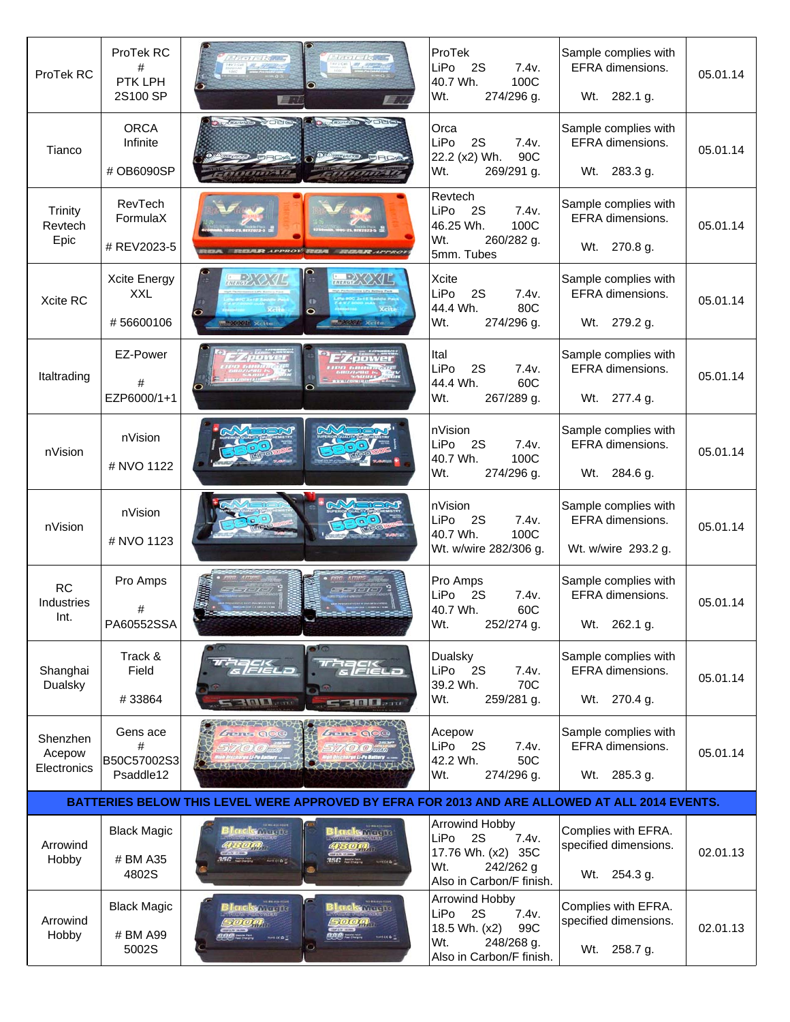| ProTek RC                         | ProTek RC<br>#<br>PTK LPH<br>2S100 SP          | $1 - 11 - 11$<br>$11 - 11 - 12$                                                               | ProTek<br>2S<br>7.4v.<br>LiPo<br>100C<br>40.7 Wh.<br>274/296 g.<br>Wt.                                                | Sample complies with<br>EFRA dimensions.<br>Wt. 282.1 g.        | 05.01.14 |
|-----------------------------------|------------------------------------------------|-----------------------------------------------------------------------------------------------|-----------------------------------------------------------------------------------------------------------------------|-----------------------------------------------------------------|----------|
| Tianco                            | <b>ORCA</b><br>Infinite<br># OB6090SP          | <b>Company of Electric Company of Electric Company of Electric Company</b>                    | Orca<br>2S<br>7.4v.<br>LiPo<br>90C<br>22.2 (x2) Wh.<br>Wt.<br>269/291 g.                                              | Sample complies with<br>EFRA dimensions.<br>Wt. 283.3 g.        | 05.01.14 |
| Trinity<br>Revtech<br>Epic        | RevTech<br>FormulaX<br># REV2023-5             |                                                                                               | Revtech<br>LiPo<br>7.4v.<br><b>2S</b><br>100C<br>46.25 Wh.<br>Wt.<br>260/282 g.<br>5mm. Tubes                         | Sample complies with<br>EFRA dimensions.<br>Wt. 270.8 g.        | 05.01.14 |
| Xcite RC                          | <b>Xcite Energy</b><br><b>XXL</b><br>#56600106 | <b>BRACK</b><br><b>Entrance CXII</b><br>$\circ$<br>ο<br><b>MARCHIE Kette</b>                  | Xcite<br>LiPo<br>2S<br>7.4v.<br>44.4 Wh.<br>80C<br>Wt.<br>274/296 g.                                                  | Sample complies with<br><b>EFRA</b> dimensions.<br>Wt. 279.2 g. | 05.01.14 |
| Italtrading                       | EZ-Power<br>#<br>EZP6000/1+1                   |                                                                                               | Ital<br>LiPo<br>2S<br>7.4v.<br>44.4 Wh.<br>60C<br>Wt.<br>267/289 g.                                                   | Sample complies with<br>EFRA dimensions.<br>Wt. 277.4 g.        | 05.01.14 |
| nVision                           | nVision<br># NVO 1122                          |                                                                                               | nVision<br>LiPo<br>2S<br>7.4v.<br>40.7 Wh.<br>100C<br>274/296 g.<br>Wt.                                               | Sample complies with<br>EFRA dimensions.<br>Wt. 284.6 g.        | 05.01.14 |
| nVision                           | nVision<br># NVO 1123                          |                                                                                               | nVision<br>LiPo<br>2S<br>7.4v.<br>40.7 Wh.<br>100C<br>Wt. w/wire 282/306 g.                                           | Sample complies with<br>EFRA dimensions.<br>Wt. w/wire 293.2 g. | 05.01.14 |
| <b>RC</b><br>Industries<br>Int.   | Pro Amps<br>#<br>PA60552SSA                    | $-10101$                                                                                      | Pro Amps<br>LiPo<br>7.4v.<br>2S<br>40.7 Wh.<br>60C<br>Wt.<br>252/274 g.                                               | Sample complies with<br>EFRA dimensions.<br>262.1 g.<br>Wt.     | 05.01.14 |
| Shanghai<br>Dualsky               | Track &<br>Field<br>#33864                     | $\Box$<br><i><b>FIELD</b></i><br><b>RATION</b> Section<br><b>CAR DE L'Anne</b>                | Dualsky<br>LiPo<br>2S<br>7.4v.<br>39.2 Wh.<br>70C<br>259/281 g.<br>Wt.                                                | Sample complies with<br>EFRA dimensions.<br>Wt. 270.4 g.        | 05.01.14 |
| Shenzhen<br>Acepow<br>Electronics | Gens ace<br>#<br>B50C57002S3<br>Psaddle12      | Gens OCC<br><i>Liens</i> QCC                                                                  | Acepow<br>LiPo<br>2S<br>7.4v.<br>42.2 Wh.<br>50C<br>Wt.<br>274/296 g.                                                 | Sample complies with<br>EFRA dimensions.<br>285.3 g.<br>Wt.     | 05.01.14 |
|                                   |                                                | BATTERIES BELOW THIS LEVEL WERE APPROVED BY EFRA FOR 2013 AND ARE ALLOWED AT ALL 2014 EVENTS. |                                                                                                                       |                                                                 |          |
| Arrowind<br>Hobby                 | <b>Black Magic</b><br># BM A35<br>4802S        | <b>College</b> de<br>crelis magna<br><b>RAIC</b> manufacturer                                 | <b>Arrowind Hobby</b><br>LiPo<br>2S<br>7.4v.<br>17.76 Wh. (x2) 35C<br>242/262 g<br>Wt.<br>Also in Carbon/F finish.    | Complies with EFRA.<br>specified dimensions.<br>Wt. 254.3 g.    | 02.01.13 |
| Arrowind<br>Hobby                 | <b>Black Magic</b><br># BM A99<br>5002S        | <b>ack</b> Newls<br><b>Solution</b> the<br>5000<br><b>DOM</b> HOLL<br><b>MAKES</b><br>izra 3  | <b>Arrowind Hobby</b><br>7.4v.<br>LiPo<br>2S<br>18.5 Wh. (x2)<br>99C<br>Wt.<br>248/268 g.<br>Also in Carbon/F finish. | Complies with EFRA.<br>specified dimensions.<br>Wt.<br>258.7 g. | 02.01.13 |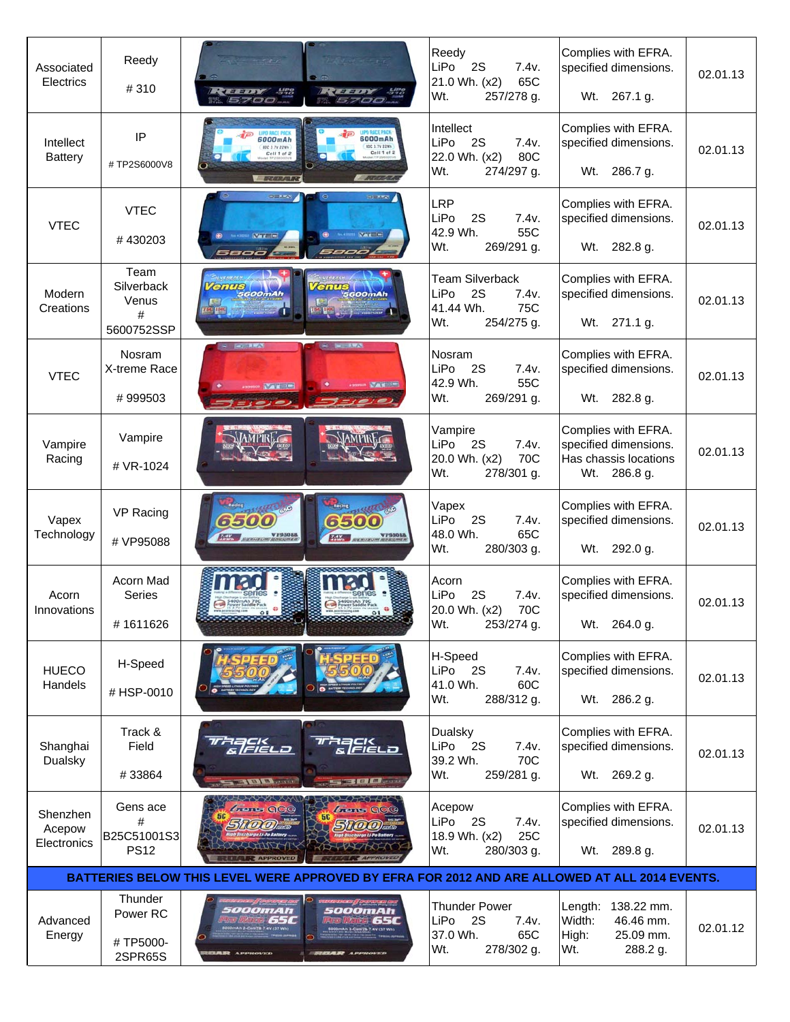| Associated<br>Electrics                                                                       | Reedy<br>#310                                  | $F = 100$<br>-578<br><b>RACED IN</b><br>177708<br>5700<br>5700                                                         | Reedy<br>LiPo<br>2S<br>7.4v.<br>21.0 Wh. (x2)<br>65C<br>Wt.<br>257/278 g.              | Complies with EFRA.<br>specified dimensions.<br>Wt. 267.1 g.                             | 02.01.13 |  |
|-----------------------------------------------------------------------------------------------|------------------------------------------------|------------------------------------------------------------------------------------------------------------------------|----------------------------------------------------------------------------------------|------------------------------------------------------------------------------------------|----------|--|
| Intellect<br><b>Battery</b>                                                                   | IP<br>#TP2S6000V8                              | JPO RACE PACI<br>6000mAh<br>6000mAh<br>80C 3.TV 22WH<br>800 3.7V 22Wh<br>Cell 1 of 2<br>Cell 1 of 2                    | Intellect<br>LiPo<br>2S<br>7.4v.<br>22.0 Wh. (x2)<br>80C<br>274/297 g.<br>Wt.          | Complies with EFRA.<br>specified dimensions.<br>286.7 g.<br>Wt.                          | 02.01.13 |  |
| <b>VTEC</b>                                                                                   | <b>VTEC</b><br>#430203                         | <b>OTHAL</b><br>$\bullet$<br><b>START</b><br><b>WARTER</b><br><b>WITHER</b><br><i>S800'L</i><br>5800                   | <b>LRP</b><br>LiPo<br>7.4v.<br>2S<br>42.9 Wh.<br>55C<br>Wt.<br>269/291 g.              | Complies with EFRA.<br>specified dimensions.<br>Wt. 282.8 g.                             | 02.01.13 |  |
| Modern<br>Creations                                                                           | Team<br>Silverback<br>Venus<br>#<br>5600752SSP | enus<br><b><i>Tenus</i></b><br>scoomAh<br>$5600$ mAh                                                                   | <b>Team Silverback</b><br>LiPo<br>2S<br>7.4v.<br>41.44 Wh.<br>75C<br>254/275 g.<br>Wt. | Complies with EFRA.<br>specified dimensions.<br>Wt. 271.1 g.                             | 02.01.13 |  |
| <b>VTEC</b>                                                                                   | Nosram<br>X-treme Race<br>#999503              | <b>IS BETTERN</b><br><b>CONTRACT</b><br>Vat 14<br>$25.776 - 0.02$<br>$1$ eje)                                          | Nosram<br>LiPo<br>2S<br>7.4v.<br>42.9 Wh.<br>55C<br>Wt.<br>269/291 g.                  | Complies with EFRA.<br>specified dimensions.<br>Wt. 282.8 g.                             | 02.01.13 |  |
| Vampire<br>Racing                                                                             | Vampire<br># VR-1024                           |                                                                                                                        | Vampire<br>LiPo<br>2S<br>7.4v.<br>70C<br>20.0 Wh. (x2)<br>Wt.<br>278/301 g.            | Complies with EFRA.<br>specified dimensions.<br>Has chassis locations<br>Wt.<br>286.8 g. | 02.01.13 |  |
| Vapex<br>Technology                                                                           | VP Racing<br># VP95088                         | Recing<br><b>Links</b><br>ossum o<br>11600 1000<br>6500<br>6500<br>FRIED STERNOOM ANDREW<br><b>Transaction Systems</b> | Vapex<br>LiPo<br>2S<br>7.4v.<br>48.0 Wh.<br>65C<br>280/303 g.<br>Wt.                   | Complies with EFRA.<br>specified dimensions.<br>Wt.<br>292.0 g.                          | 02.01.13 |  |
| Acorn<br>Innovations                                                                          | Acorn Mad<br>Series<br>#1611626                |                                                                                                                        | Acorn<br>LiPo<br>2S<br>7.4v.<br>20.0 Wh. (x2)<br>70C<br>253/274 g.<br>Wt.              | Complies with EFRA.<br>specified dimensions.<br>Wt. 264.0 g.                             | 02.01.13 |  |
| <b>HUECO</b><br>Handels                                                                       | H-Speed<br>#HSP-0010                           |                                                                                                                        | H-Speed<br>LiPo<br>2S<br>7.4v.<br>60C<br>41.0 Wh.<br>Wt.<br>288/312 g.                 | Complies with EFRA.<br>specified dimensions.<br>Wt. 286.2 g.                             | 02.01.13 |  |
| Shanghai<br>Dualsky                                                                           | Track &<br>Field<br>#33864                     | anck<br>Seield<br><u>elekto</u><br><b>Company of the Company's</b><br><b>EXTEND WORKS</b>                              | Dualsky<br>LiPo<br>2S<br>7.4v.<br>70C<br>39.2 Wh.<br>Wt.<br>259/281 g.                 | Complies with EFRA.<br>specified dimensions.<br>Wt. 269.2 g.                             | 02.01.13 |  |
| Shenzhen<br>Acepow<br>Electronics                                                             | Gens ace<br>#<br>B25C51001S3<br><b>PS12</b>    | <b>Gans OCO</b><br><i><b><i>Gene</i></b></i> <b>QCC</b><br><b>b Bischarge Li-Po Battery</b><br><b>APPROVED</b>         | Acepow<br>LiPo<br>- 2S<br>7.4v.<br>18.9 Wh. (x2)<br>25C<br>280/303 g.<br>Wt.           | Complies with EFRA.<br>specified dimensions.<br>Wt. 289.8 g.                             | 02.01.13 |  |
| BATTERIES BELOW THIS LEVEL WERE APPROVED BY EFRA FOR 2012 AND ARE ALLOWED AT ALL 2014 EVENTS. |                                                |                                                                                                                        |                                                                                        |                                                                                          |          |  |
| Advanced<br>Energy                                                                            | Thunder<br>Power RC<br>#TP5000-<br>2SPR65S     | <i><b>SOOOmAh</b></i><br>5000mAh<br><b>65C</b><br><b>65C</b>                                                           | <b>Thunder Power</b><br>LiPo<br>2S<br>7.4v.<br>37.0 Wh.<br>65C<br>Wt.<br>278/302 g.    | 138.22 mm.<br>Length:<br>Width:<br>46.46 mm.<br>High:<br>25.09 mm.<br>288.2 g.<br>Wt.    | 02.01.12 |  |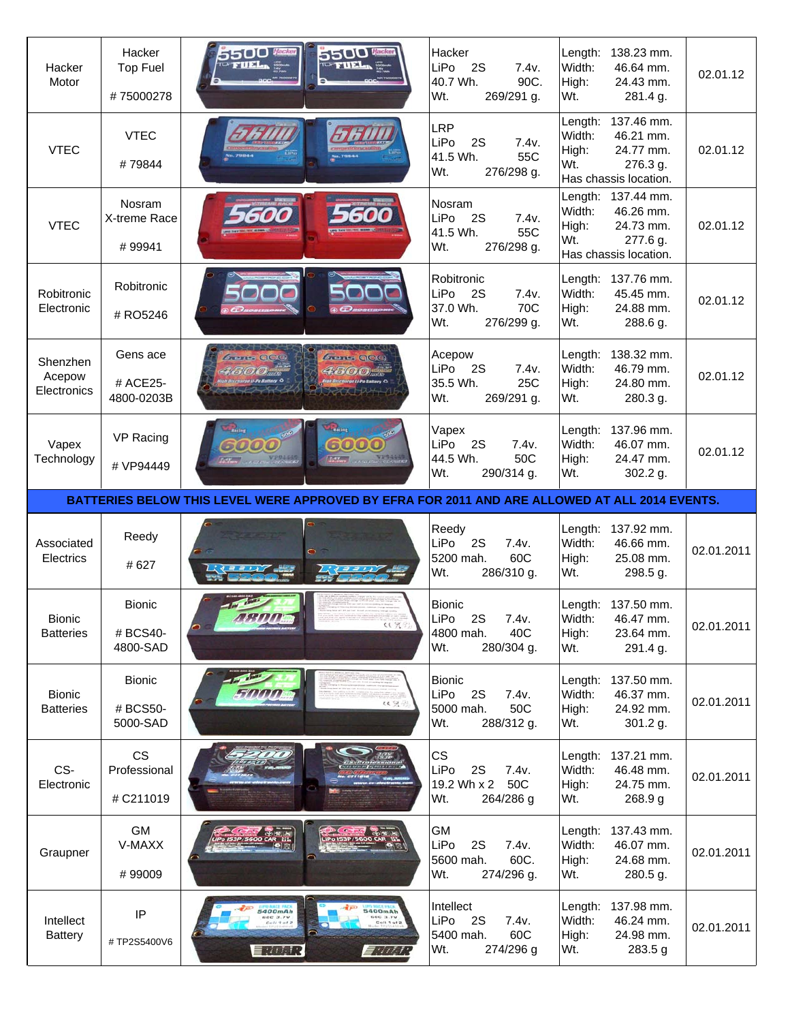| Hacker<br>Motor                   | Hacker<br><b>Top Fuel</b><br>#75000278 | 5500 then<br><b>STILL</b>                                                                     | 5500 to<br><b>TOP FILE</b>                                                      | Hacker<br>LiPo<br>2S<br>7.4v.<br>40.7 Wh.<br>90C.<br>Wt.<br>269/291 g.        | Length:<br>Width:<br>High:<br>Wt. | 138.23 mm.<br>46.64 mm.<br>24.43 mm.<br>281.4 g.                                  | 02.01.12   |
|-----------------------------------|----------------------------------------|-----------------------------------------------------------------------------------------------|---------------------------------------------------------------------------------|-------------------------------------------------------------------------------|-----------------------------------|-----------------------------------------------------------------------------------|------------|
| <b>VTEC</b>                       | <b>VTEC</b><br>#79844                  |                                                                                               |                                                                                 | <b>LRP</b><br>LiPo<br>2S<br>7.4v.<br>41.5 Wh.<br>55C<br>Wt.<br>276/298 g.     | Length:<br>Width:<br>High:<br>Wt. | 137.46 mm.<br>46.21 mm.<br>24.77 mm.<br>276.3 g.<br>Has chassis location.         | 02.01.12   |
| <b>VTEC</b>                       | Nosram<br>X-treme Race<br>#99941       |                                                                                               |                                                                                 | Nosram<br>LiPo<br><b>2S</b><br>7.4v.<br>41.5 Wh.<br>55C<br>276/298 g.<br>Wt.  | Width:<br>High:<br>Wt.            | Length: 137.44 mm.<br>46.26 mm.<br>24.73 mm.<br>277.6 g.<br>Has chassis location. | 02.01.12   |
| Robitronic<br>Electronic          | Robitronic<br># RO5246                 |                                                                                               |                                                                                 | Robitronic<br>LiPo<br>2S<br>7.4v.<br>37.0 Wh.<br>70C<br>276/299 g.<br>Wt.     | Length:<br>Width:<br>High:<br>Wt. | 137.76 mm.<br>45.45 mm.<br>24.88 mm.<br>288.6 g.                                  | 02.01.12   |
| Shenzhen<br>Acepow<br>Electronics | Gens ace<br># ACE25-<br>4800-0203B     | acc                                                                                           | <b>Grants OCC</b><br>4300<br>on Discharge Li-Po Battery C                       | Acepow<br>LiPo<br>2S<br>7.4v.<br>35.5 Wh.<br>25C<br>Wt.<br>269/291 g.         | Length:<br>Width:<br>High:<br>Wt. | 138.32 mm.<br>46.79 mm.<br>24.80 mm.<br>280.3 g.                                  | 02.01.12   |
| Vapex<br>Technology               | VP Racing<br># VP94449                 | Recing<br>6000<br><b>TERRATORIA</b>                                                           | <b><i><u>Chating</u></i></b><br>6000<br><b>Extreme</b> Containing Concentration | Vapex<br>LiPo<br>2S<br>7.4v.<br>44.5 Wh.<br>50C<br>Wt.<br>290/314 g.          | Length:<br>Width:<br>High:<br>Wt. | 137.96 mm.<br>46.07 mm.<br>24.47 mm.<br>302.2 g.                                  | 02.01.12   |
|                                   |                                        |                                                                                               |                                                                                 |                                                                               |                                   |                                                                                   |            |
|                                   |                                        | BATTERIES BELOW THIS LEVEL WERE APPROVED BY EFRA FOR 2011 AND ARE ALLOWED AT ALL 2014 EVENTS. |                                                                                 |                                                                               |                                   |                                                                                   |            |
| Associated<br>Electrics           | Reedy<br># 627                         |                                                                                               |                                                                                 | Reedy<br>LiPo<br>2S<br>7.4v.<br>60C<br>5200 mah.<br>286/310 g.<br>Wt.         | Length:<br>Width:<br>High:<br>Wt. | 137.92 mm.<br>46.66 mm.<br>25.08 mm.<br>298.5 g.                                  | 02.01.2011 |
| <b>Bionic</b><br><b>Batteries</b> | <b>Bionic</b><br># BCS40-<br>4800-SAD  |                                                                                               | ((只行)                                                                           | <b>Bionic</b><br>LiPo<br>2S<br>7.4v.<br>40C<br>4800 mah.<br>280/304 g.<br>Wt. | Width:<br>High:<br>Wt.            | Length: 137.50 mm.<br>46.47 mm.<br>23.64 mm.<br>291.4 g.                          | 02.01.2011 |
| <b>Bionic</b><br><b>Batteries</b> | <b>Bionic</b><br># BCS50-<br>5000-SAD  |                                                                                               | 以気                                                                              | <b>Bionic</b><br>LiPo<br>2S<br>7.4v.<br>5000 mah.<br>50C<br>Wt.<br>288/312 g. | Length:<br>Width:<br>High:<br>Wt. | 137.50 mm.<br>46.37 mm.<br>24.92 mm.<br>301.2 g.                                  | 02.01.2011 |
| CS-<br>Electronic                 | <b>CS</b><br>Professional<br># C211019 |                                                                                               |                                                                                 | <b>CS</b><br>LiPo<br>2S<br>7.4v.<br>19.2 Wh x 2 50C<br>Wt.<br>264/286 g       | Length:<br>Width:<br>High:<br>Wt. | 137.21 mm.<br>46.48 mm.<br>24.75 mm.<br>268.9 g                                   | 02.01.2011 |
| Graupner                          | <b>GM</b><br>V-MAXX<br>#99009          |                                                                                               |                                                                                 | <b>GM</b><br>LiPo<br>2S<br>7.4v.<br>60C.<br>5600 mah.<br>Wt.<br>274/296 g.    | Length:<br>Width:<br>High:<br>Wt. | 137.43 mm.<br>46.07 mm.<br>24.68 mm.<br>280.5 g.                                  | 02.01.2011 |